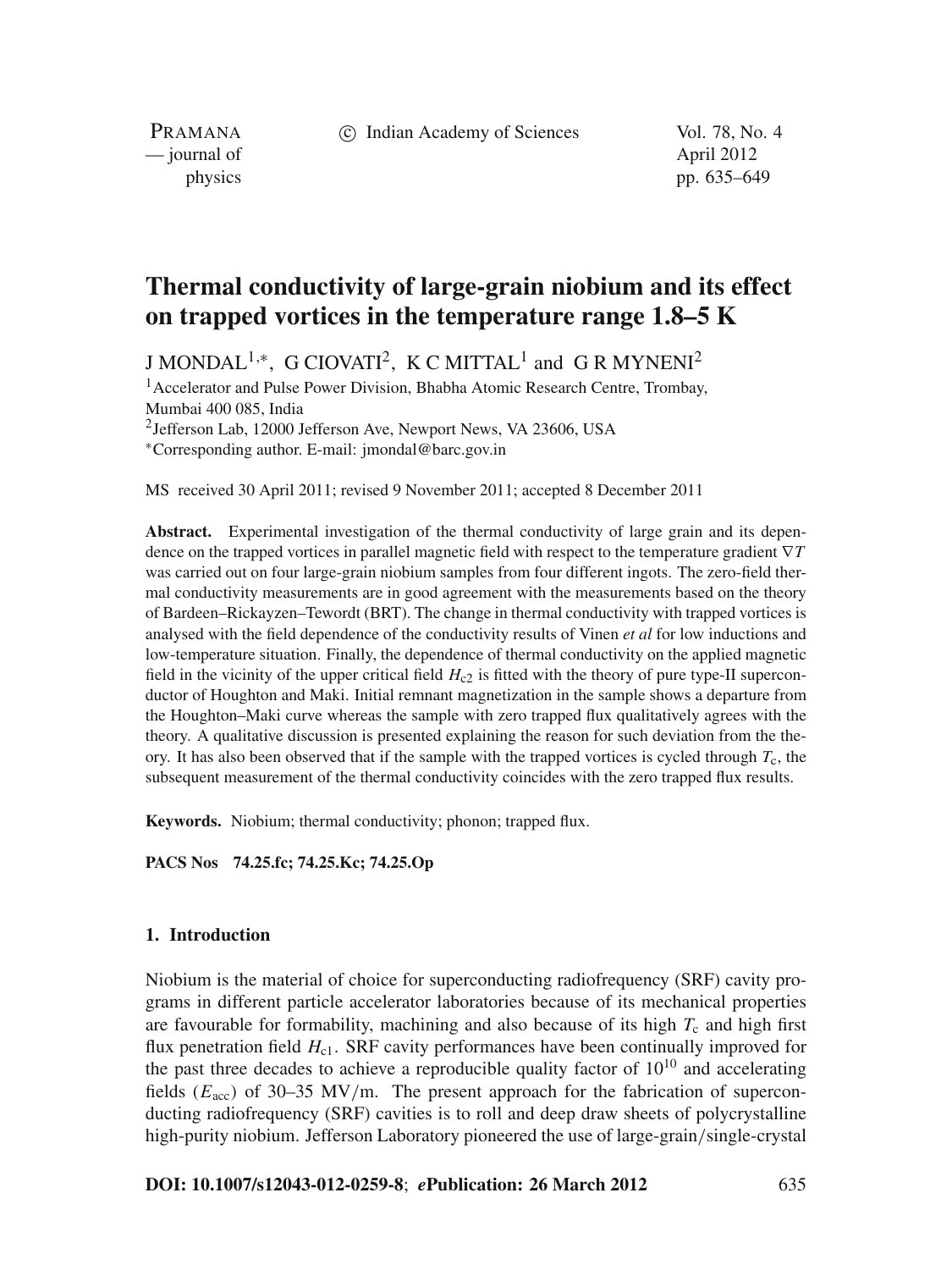c Indian Academy of Sciences Vol. 78, No. 4

PRAMANA — journal of April 2012

physics pp. 635–649

# **Thermal conductivity of large-grain niobium and its effect on trapped vortices in the temperature range 1.8–5 K**

J MONDAL<sup>1,∗</sup>, G CIOVATI<sup>2</sup>, K C MITTAL<sup>1</sup> and G R MYNENI<sup>2</sup>

<sup>1</sup> Accelerator and Pulse Power Division, Bhabha Atomic Research Centre, Trombay, Mumbai 400 085, India

2Jefferson Lab, 12000 Jefferson Ave, Newport News, VA 23606, USA <sup>∗</sup>Corresponding author. E-mail: jmondal@barc.gov.in

MS received 30 April 2011; revised 9 November 2011; accepted 8 December 2011

**Abstract.** Experimental investigation of the thermal conductivity of large grain and its dependence on the trapped vortices in parallel magnetic field with respect to the temperature gradient ∇*T* was carried out on four large-grain niobium samples from four different ingots. The zero-field thermal conductivity measurements are in good agreement with the measurements based on the theory of Bardeen–Rickayzen–Tewordt (BRT). The change in thermal conductivity with trapped vortices is analysed with the field dependence of the conductivity results of Vinen *et al* for low inductions and low-temperature situation. Finally, the dependence of thermal conductivity on the applied magnetic field in the vicinity of the upper critical field  $H_{c2}$  is fitted with the theory of pure type-II superconductor of Houghton and Maki. Initial remnant magnetization in the sample shows a departure from the Houghton–Maki curve whereas the sample with zero trapped flux qualitatively agrees with the theory. A qualitative discussion is presented explaining the reason for such deviation from the theory. It has also been observed that if the sample with the trapped vortices is cycled through  $T_c$ , the subsequent measurement of the thermal conductivity coincides with the zero trapped flux results.

**Keywords.** Niobium; thermal conductivity; phonon; trapped flux.

**PACS Nos 74.25.fc; 74.25.Kc; 74.25.Op**

# **1. Introduction**

Niobium is the material of choice for superconducting radiofrequency (SRF) cavity programs in different particle accelerator laboratories because of its mechanical properties are favourable for formability, machining and also because of its high  $T_c$  and high first flux penetration field  $H_{c1}$ . SRF cavity performances have been continually improved for the past three decades to achieve a reproducible quality factor of  $10^{10}$  and accelerating fields  $(E_{\text{acc}})$  of 30–35 MV/m. The present approach for the fabrication of superconducting radiofrequency (SRF) cavities is to roll and deep draw sheets of polycrystalline high-purity niobium. Jefferson Laboratory pioneered the use of large-grain/single-crystal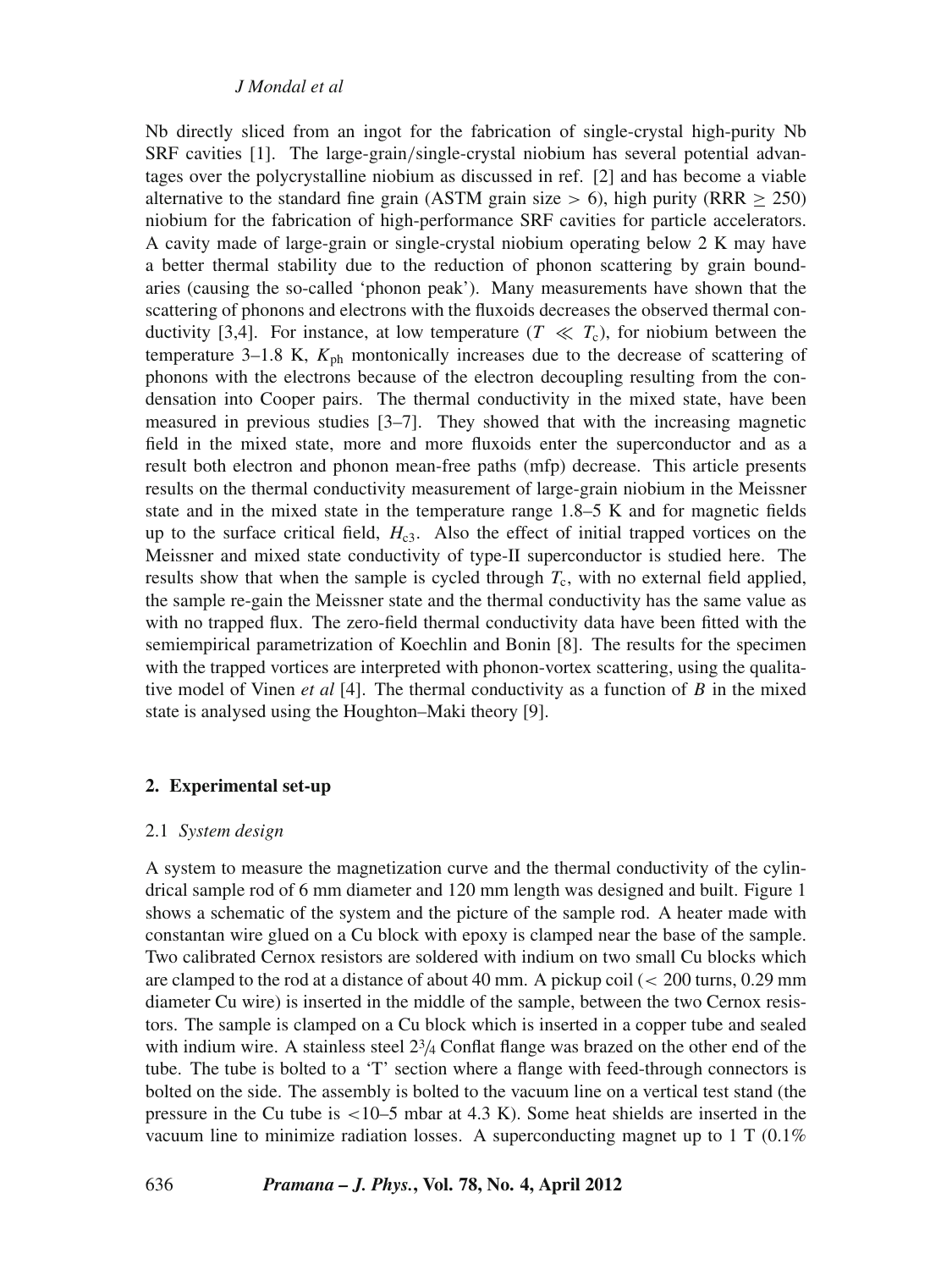Nb directly sliced from an ingot for the fabrication of single-crystal high-purity Nb SRF cavities [1]. The large-grain/single-crystal niobium has several potential advantages over the polycrystalline niobium as discussed in ref. [2] and has become a viable alternative to the standard fine grain (ASTM grain size  $> 6$ ), high purity (RRR  $\geq 250$ ) niobium for the fabrication of high-performance SRF cavities for particle accelerators. A cavity made of large-grain or single-crystal niobium operating below 2 K may have a better thermal stability due to the reduction of phonon scattering by grain boundaries (causing the so-called 'phonon peak'). Many measurements have shown that the scattering of phonons and electrons with the fluxoids decreases the observed thermal conductivity [3,4]. For instance, at low temperature  $(T \ll T_c)$ , for niobium between the temperature  $3-1.8$  K,  $K_{ph}$  montonically increases due to the decrease of scattering of phonons with the electrons because of the electron decoupling resulting from the condensation into Cooper pairs. The thermal conductivity in the mixed state, have been measured in previous studies [3–7]. They showed that with the increasing magnetic field in the mixed state, more and more fluxoids enter the superconductor and as a result both electron and phonon mean-free paths (mfp) decrease. This article presents results on the thermal conductivity measurement of large-grain niobium in the Meissner state and in the mixed state in the temperature range 1.8–5 K and for magnetic fields up to the surface critical field,  $H<sub>c3</sub>$ . Also the effect of initial trapped vortices on the Meissner and mixed state conductivity of type-II superconductor is studied here. The results show that when the sample is cycled through *T*c, with no external field applied, the sample re-gain the Meissner state and the thermal conductivity has the same value as with no trapped flux. The zero-field thermal conductivity data have been fitted with the semiempirical parametrization of Koechlin and Bonin [8]. The results for the specimen with the trapped vortices are interpreted with phonon-vortex scattering, using the qualitative model of Vinen *et al* [4]. The thermal conductivity as a function of *B* in the mixed state is analysed using the Houghton–Maki theory [9].

## **2. Experimental set-up**

### 2.1 *System design*

A system to measure the magnetization curve and the thermal conductivity of the cylindrical sample rod of 6 mm diameter and 120 mm length was designed and built. Figure 1 shows a schematic of the system and the picture of the sample rod. A heater made with constantan wire glued on a Cu block with epoxy is clamped near the base of the sample. Two calibrated Cernox resistors are soldered with indium on two small Cu blocks which are clamped to the rod at a distance of about 40 mm. A pickup coil  $\ll$  200 turns, 0.29 mm diameter Cu wire) is inserted in the middle of the sample, between the two Cernox resistors. The sample is clamped on a Cu block which is inserted in a copper tube and sealed with indium wire. A stainless steel  $2\frac{3}{4}$  Conflat flange was brazed on the other end of the tube. The tube is bolted to a 'T' section where a flange with feed-through connectors is bolted on the side. The assembly is bolted to the vacuum line on a vertical test stand (the pressure in the Cu tube is  $\lt 10-5$  mbar at 4.3 K). Some heat shields are inserted in the vacuum line to minimize radiation losses. A superconducting magnet up to  $1 \text{ T } (0.1\%)$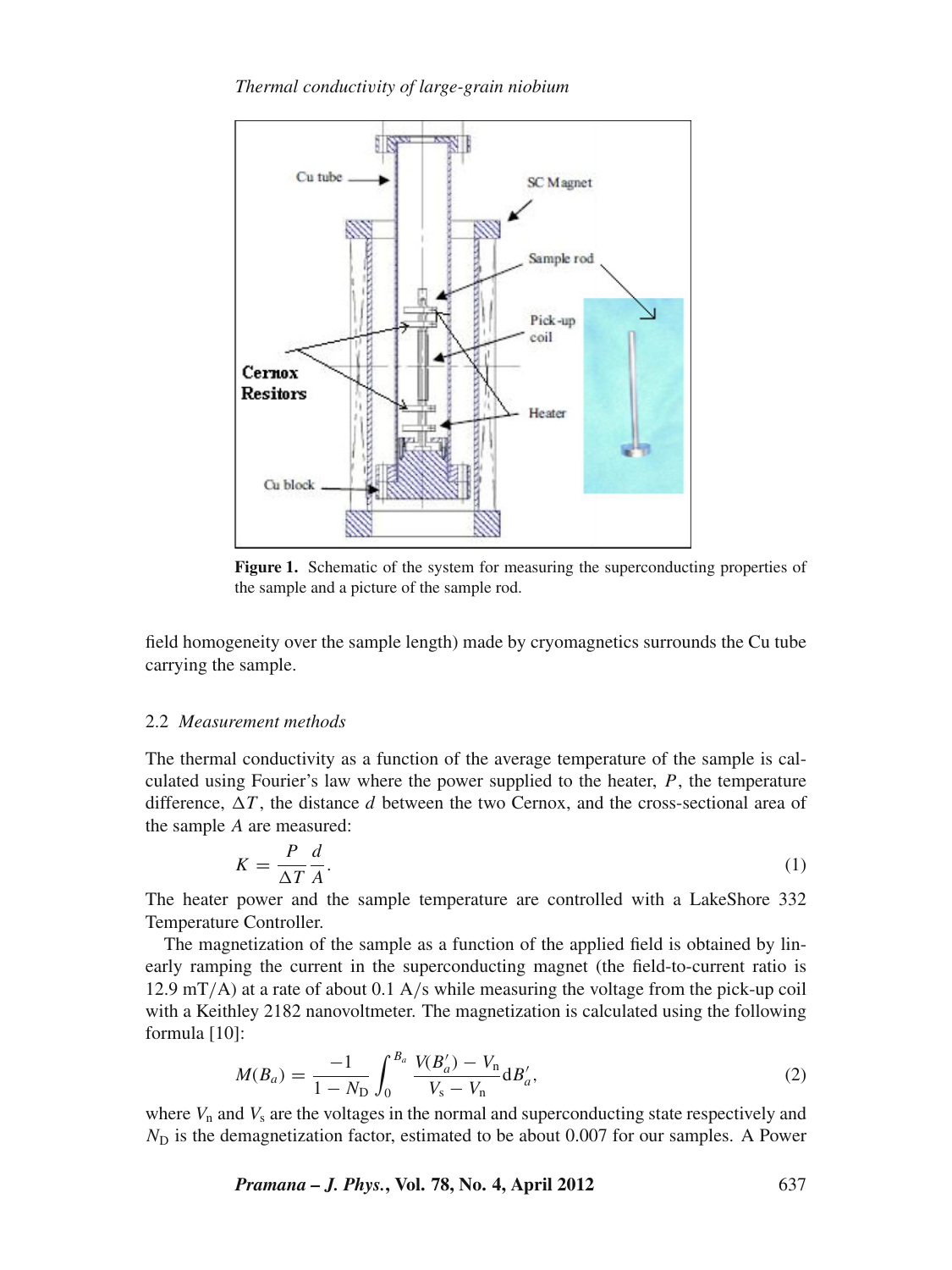*Thermal conducti*v*ity of large-grain niobium*



**Figure 1.** Schematic of the system for measuring the superconducting properties of the sample and a picture of the sample rod.

field homogeneity over the sample length) made by cryomagnetics surrounds the Cu tube carrying the sample.

# 2.2 *Measurement methods*

The thermal conductivity as a function of the average temperature of the sample is calculated using Fourier's law where the power supplied to the heater, *P*, the temperature difference,  $\Delta T$ , the distance *d* between the two Cernox, and the cross-sectional area of the sample *A* are measured:

$$
K = \frac{P}{\Delta T} \frac{d}{A}.\tag{1}
$$

The heater power and the sample temperature are controlled with a LakeShore 332 Temperature Controller.

The magnetization of the sample as a function of the applied field is obtained by linearly ramping the current in the superconducting magnet (the field-to-current ratio is  $12.9 \text{ mT/A}$ ) at a rate of about 0.1 A/s while measuring the voltage from the pick-up coil with a Keithley 2182 nanovoltmeter. The magnetization is calculated using the following formula [10]:

$$
M(B_a) = \frac{-1}{1 - N_{\rm D}} \int_0^{B_a} \frac{V(B'_a) - V_{\rm n}}{V_{\rm s} - V_{\rm n}} dB'_a,\tag{2}
$$

where  $V_n$  and  $V_s$  are the voltages in the normal and superconducting state respectively and *N*<sub>D</sub> is the demagnetization factor, estimated to be about 0.007 for our samples. A Power

*Pramana – J. Phys.***, Vol. 78, No. 4, April 2012** 637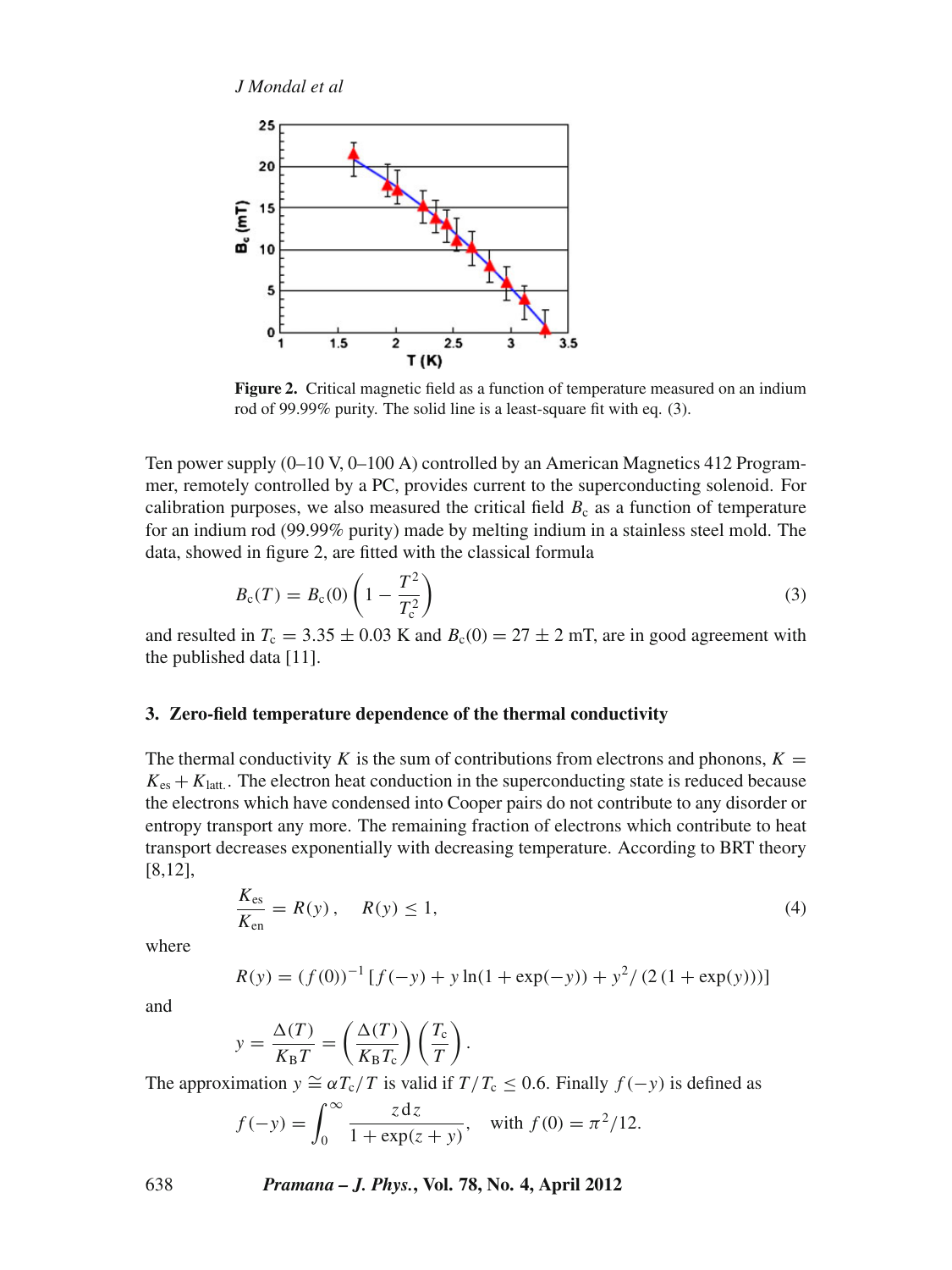

**Figure 2.** Critical magnetic field as a function of temperature measured on an indium rod of 99.99% purity. The solid line is a least-square fit with eq. (3).

Ten power supply (0–10 V, 0–100 A) controlled by an American Magnetics 412 Programmer, remotely controlled by a PC, provides current to the superconducting solenoid. For calibration purposes, we also measured the critical field  $B<sub>c</sub>$  as a function of temperature for an indium rod (99.99% purity) made by melting indium in a stainless steel mold. The data, showed in figure 2, are fitted with the classical formula

$$
B_{c}(T) = B_{c}(0) \left( 1 - \frac{T^{2}}{T_{c}^{2}} \right)
$$
 (3)

and resulted in  $T_c = 3.35 \pm 0.03$  K and  $B_c(0) = 27 \pm 2$  mT, are in good agreement with the published data [11].

## **3. Zero-field temperature dependence of the thermal conductivity**

The thermal conductivity *K* is the sum of contributions from electrons and phonons,  $K =$  $K_{\text{es}} + K_{\text{latt}}$ . The electron heat conduction in the superconducting state is reduced because the electrons which have condensed into Cooper pairs do not contribute to any disorder or entropy transport any more. The remaining fraction of electrons which contribute to heat transport decreases exponentially with decreasing temperature. According to BRT theory [8,12],

$$
\frac{K_{\rm es}}{K_{\rm en}} = R(y), \quad R(y) \le 1,\tag{4}
$$

where

$$
R(y) = (f(0))^{-1} [f(-y) + y \ln(1 + \exp(-y)) + y^2 / (2 (1 + \exp(y)))]
$$

and

$$
y = \frac{\Delta(T)}{K_{\rm B}T} = \left(\frac{\Delta(T)}{K_{\rm B}T_{\rm c}}\right)\left(\frac{T_{\rm c}}{T}\right).
$$

The approximation  $y \cong \alpha T_c/T$  is valid if  $T/T_c \leq 0.6$ . Finally  $f(-y)$  is defined as

$$
f(-y) = \int_0^\infty \frac{z \, dz}{1 + \exp(z + y)},
$$
 with  $f(0) = \pi^2/12.$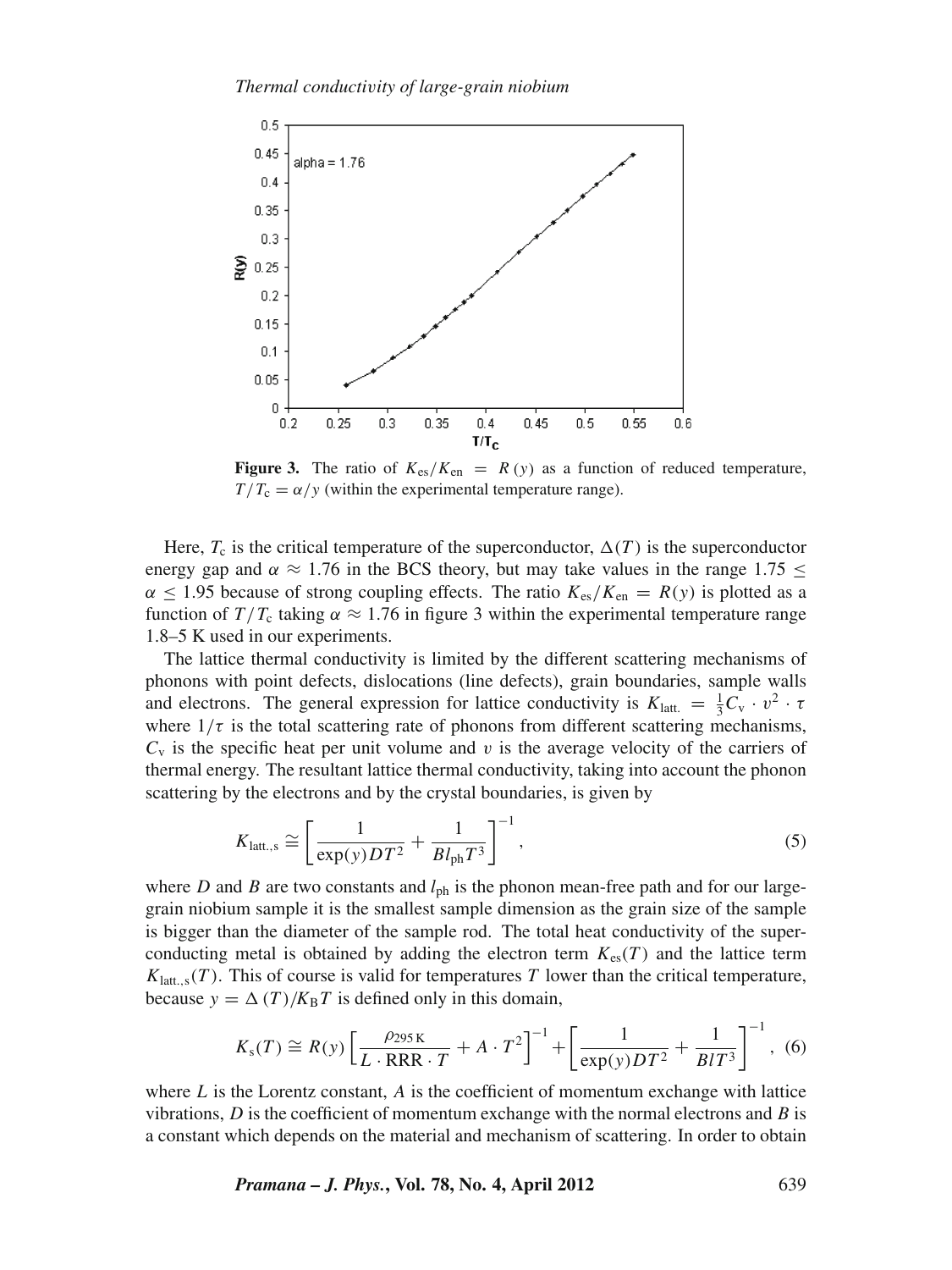

**Figure 3.** The ratio of  $K_{\text{es}}/K_{\text{en}} = R(y)$  as a function of reduced temperature,  $T/T_c = \alpha/y$  (within the experimental temperature range).

Here,  $T_c$  is the critical temperature of the superconductor,  $\Delta(T)$  is the superconductor energy gap and  $\alpha \approx 1.76$  in the BCS theory, but may take values in the range 1.75  $\leq$  $\alpha \leq 1.95$  because of strong coupling effects. The ratio  $K_{\text{es}}/K_{\text{en}} = R(y)$  is plotted as a function of  $T/T_c$  taking  $\alpha \approx 1.76$  in figure 3 within the experimental temperature range 1.8–5 K used in our experiments.

The lattice thermal conductivity is limited by the different scattering mechanisms of phonons with point defects, dislocations (line defects), grain boundaries, sample walls and electrons. The general expression for lattice conductivity is  $K_{\text{latt.}} = \frac{1}{3}C_{\text{v}} \cdot v^2 \cdot \tau$ where  $1/\tau$  is the total scattering rate of phonons from different scattering mechanisms,  $C_v$  is the specific heat per unit volume and v is the average velocity of the carriers of thermal energy. The resultant lattice thermal conductivity, taking into account the phonon scattering by the electrons and by the crystal boundaries, is given by

$$
K_{\text{latt.,s}} \cong \left[\frac{1}{\exp(y)DT^2} + \frac{1}{Bl_{\text{ph}}T^3}\right]^{-1},\tag{5}
$$

where *D* and *B* are two constants and  $l_{\text{ph}}$  is the phonon mean-free path and for our largegrain niobium sample it is the smallest sample dimension as the grain size of the sample is bigger than the diameter of the sample rod. The total heat conductivity of the superconducting metal is obtained by adding the electron term  $K_{\rm es}(T)$  and the lattice term  $K_{\text{latt,s}}(T)$ . This of course is valid for temperatures *T* lower than the critical temperature, because  $y = \Delta(T)/K_B T$  is defined only in this domain,

$$
K_{\rm s}(T) \cong R(y) \left[ \frac{\rho_{295\,\text{K}}}{L \cdot \text{RRR} \cdot T} + A \cdot T^2 \right]^{-1} + \left[ \frac{1}{\exp(y)DT^2} + \frac{1}{BIT^3} \right]^{-1}, \tag{6}
$$

where *L* is the Lorentz constant, *A* is the coefficient of momentum exchange with lattice vibrations, *D* is the coefficient of momentum exchange with the normal electrons and *B* is a constant which depends on the material and mechanism of scattering. In order to obtain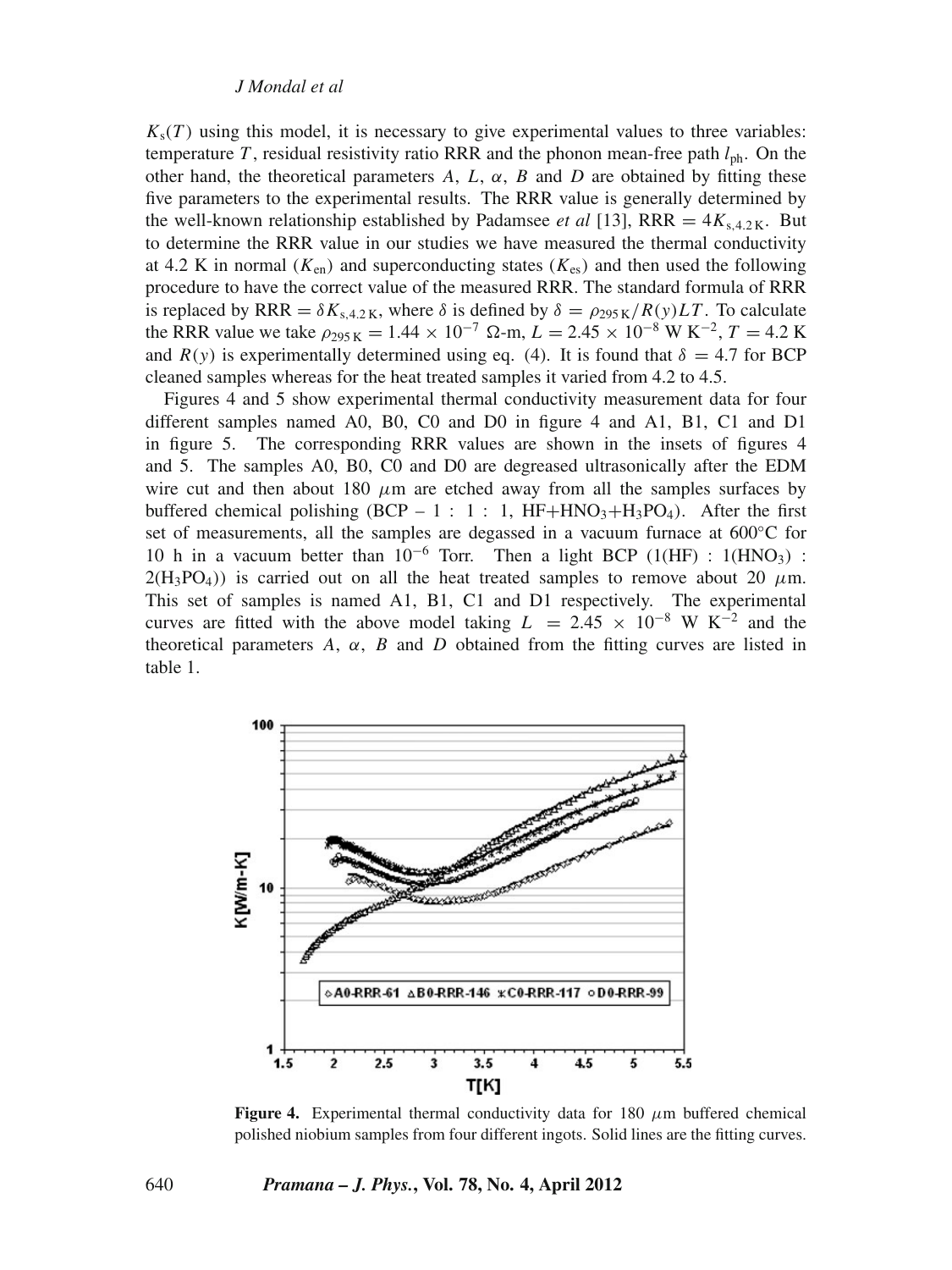$K_s(T)$  using this model, it is necessary to give experimental values to three variables: temperature *T*, residual resistivity ratio RRR and the phonon mean-free path  $l_{\rm ph}$ . On the other hand, the theoretical parameters  $A$ ,  $L$ ,  $\alpha$ ,  $B$  and  $D$  are obtained by fitting these five parameters to the experimental results. The RRR value is generally determined by the well-known relationship established by Padamsee *et al* [13], RRR =  $4K_{s,4,2,K}$ . But to determine the RRR value in our studies we have measured the thermal conductivity at 4.2 K in normal ( $K_{en}$ ) and superconducting states ( $K_{es}$ ) and then used the following procedure to have the correct value of the measured RRR. The standard formula of RRR is replaced by RRR =  $\delta K_{s,4.2 \text{ K}}$ , where  $\delta$  is defined by  $\delta = \rho_{295 \text{ K}}/R(y)LT$ . To calculate the RRR value we take  $\rho_{295\,\text{K}} = 1.44 \times 10^{-7} \, \Omega \cdot \text{m}$ ,  $L = 2.45 \times 10^{-8} \, \text{W K}^{-2}$ ,  $T = 4.2 \, \text{K}$ and  $R(y)$  is experimentally determined using eq. (4). It is found that  $\delta = 4.7$  for BCP cleaned samples whereas for the heat treated samples it varied from 4.2 to 4.5.

Figures 4 and 5 show experimental thermal conductivity measurement data for four different samples named A0, B0, C0 and D0 in figure 4 and A1, B1, C1 and D1 in figure 5. The corresponding RRR values are shown in the insets of figures 4 and 5. The samples A0, B0, C0 and D0 are degreased ultrasonically after the EDM wire cut and then about 180  $\mu$ m are etched away from all the samples surfaces by buffered chemical polishing (BCP – 1 : 1 : 1,  $HF+HNO<sub>3</sub>+H<sub>3</sub>PO<sub>4</sub>$ ). After the first set of measurements, all the samples are degassed in a vacuum furnace at 600<sup>°</sup>C for 10 h in a vacuum better than  $10^{-6}$  Torr. Then a light BCP (1(HF) : 1(HNO<sub>3</sub>) :  $2(H_3PO_4)$ ) is carried out on all the heat treated samples to remove about 20  $\mu$ m. This set of samples is named A1, B1, C1 and D1 respectively. The experimental curves are fitted with the above model taking  $L = 2.45 \times 10^{-8}$  W K<sup>-2</sup> and the theoretical parameters  $A$ ,  $\alpha$ ,  $B$  and  $D$  obtained from the fitting curves are listed in table 1.



**Figure 4.** Experimental thermal conductivity data for 180  $\mu$ m buffered chemical polished niobium samples from four different ingots. Solid lines are the fitting curves.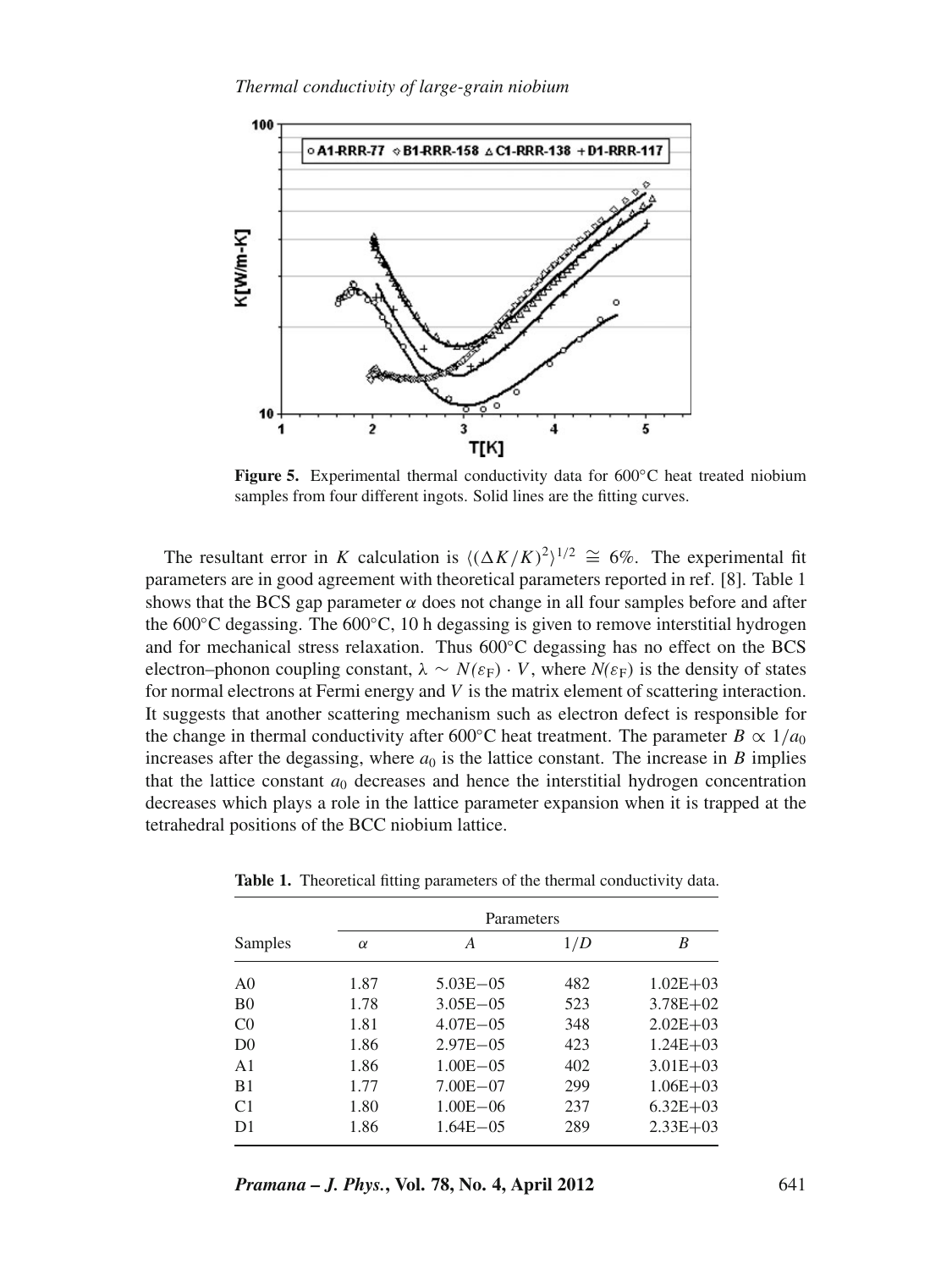

**Figure 5.** Experimental thermal conductivity data for 600◦C heat treated niobium samples from four different ingots. Solid lines are the fitting curves.

The resultant error in *K* calculation is  $\langle (\Delta K/K)^2 \rangle^{1/2} \cong 6\%$ . The experimental fit parameters are in good agreement with theoretical parameters reported in ref. [8]. Table 1 shows that the BCS gap parameter  $\alpha$  does not change in all four samples before and after the  $600\degree$ C degassing. The  $600\degree$ C, 10 h degassing is given to remove interstitial hydrogen and for mechanical stress relaxation. Thus  $600^{\circ}$ C degassing has no effect on the BCS electron–phonon coupling constant,  $\lambda \sim N(\varepsilon_F) \cdot V$ , where  $N(\varepsilon_F)$  is the density of states for normal electrons at Fermi energy and *V* is the matrix element of scattering interaction. It suggests that another scattering mechanism such as electron defect is responsible for the change in thermal conductivity after 600<sup>°</sup>C heat treatment. The parameter *B*  $\propto$  1/*a*<sub>0</sub> increases after the degassing, where  $a_0$  is the lattice constant. The increase in *B* implies that the lattice constant  $a_0$  decreases and hence the interstitial hydrogen concentration decreases which plays a role in the lattice parameter expansion when it is trapped at the tetrahedral positions of the BCC niobium lattice.

| Samples        | Parameters |               |     |              |
|----------------|------------|---------------|-----|--------------|
|                | $\alpha$   | A             | 1/D | B            |
| A <sub>0</sub> | 1.87       | $5.03E - 0.5$ | 482 | $1.02E + 03$ |
| B <sub>0</sub> | 1.78       | $3.05E - 05$  | 523 | $3.78E + 02$ |
| C <sub>0</sub> | 1.81       | $4.07E - 0.5$ | 348 | $2.02E + 03$ |
| D <sub>0</sub> | 1.86       | $2.97E - 0.5$ | 423 | $1.24E + 03$ |
| A <sub>1</sub> | 1.86       | $1.00E - 0.5$ | 402 | $3.01E + 03$ |
| B1             | 1.77       | $7.00E - 07$  | 299 | $1.06E + 03$ |
| C <sub>1</sub> | 1.80       | $1.00E - 06$  | 237 | $6.32E + 03$ |
| D1             | 1.86       | $1.64E - 0.5$ | 289 | $2.33E+03$   |

Table 1. Theoretical fitting parameters of the thermal conductivity data.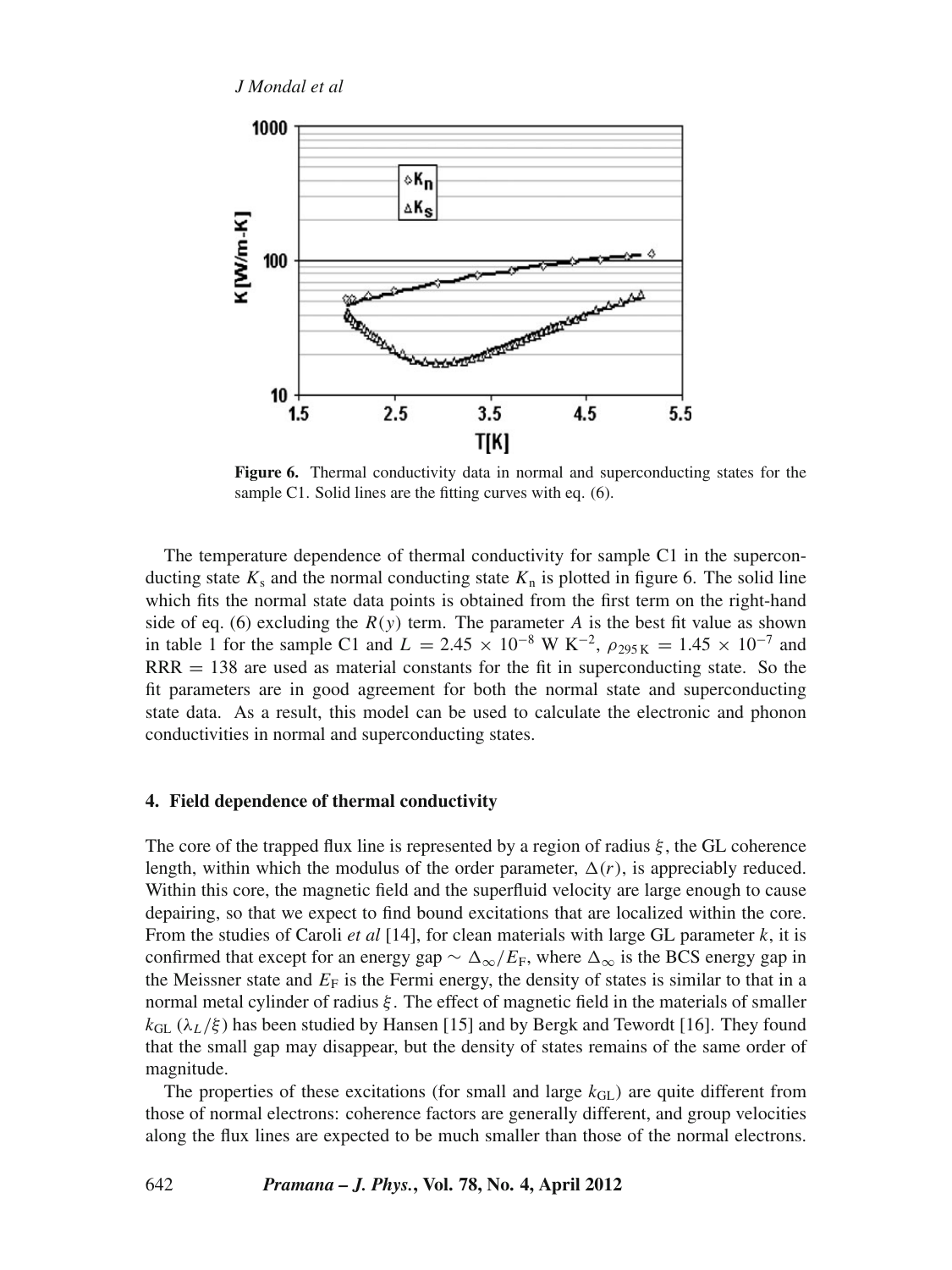

**Figure 6.** Thermal conductivity data in normal and superconducting states for the sample C1. Solid lines are the fitting curves with eq. (6).

The temperature dependence of thermal conductivity for sample C1 in the superconducting state  $K_s$  and the normal conducting state  $K_n$  is plotted in figure 6. The solid line which fits the normal state data points is obtained from the first term on the right-hand side of eq. (6) excluding the  $R(y)$  term. The parameter *A* is the best fit value as shown in table 1 for the sample C1 and  $L = 2.45 \times 10^{-8}$  W K<sup>-2</sup>,  $\rho_{295K} = 1.45 \times 10^{-7}$  and  $RRR = 138$  are used as material constants for the fit in superconducting state. So the fit parameters are in good agreement for both the normal state and superconducting state data. As a result, this model can be used to calculate the electronic and phonon conductivities in normal and superconducting states.

## **4. Field dependence of thermal conductivity**

The core of the trapped flux line is represented by a region of radius  $\xi$ , the GL coherence length, within which the modulus of the order parameter,  $\Delta(r)$ , is appreciably reduced. Within this core, the magnetic field and the superfluid velocity are large enough to cause depairing, so that we expect to find bound excitations that are localized within the core. From the studies of Caroli *et al* [14], for clean materials with large GL parameter *k*, it is confirmed that except for an energy gap  $\sim \Delta_{\infty}/E_{\rm F}$ , where  $\Delta_{\infty}$  is the BCS energy gap in the Meissner state and  $E_F$  is the Fermi energy, the density of states is similar to that in a normal metal cylinder of radius ξ. The effect of magnetic field in the materials of smaller  $k_{\text{GL}}$  ( $\lambda_L/\xi$ ) has been studied by Hansen [15] and by Bergk and Tewordt [16]. They found that the small gap may disappear, but the density of states remains of the same order of magnitude.

The properties of these excitations (for small and large  $k_{\text{GL}}$ ) are quite different from those of normal electrons: coherence factors are generally different, and group velocities along the flux lines are expected to be much smaller than those of the normal electrons.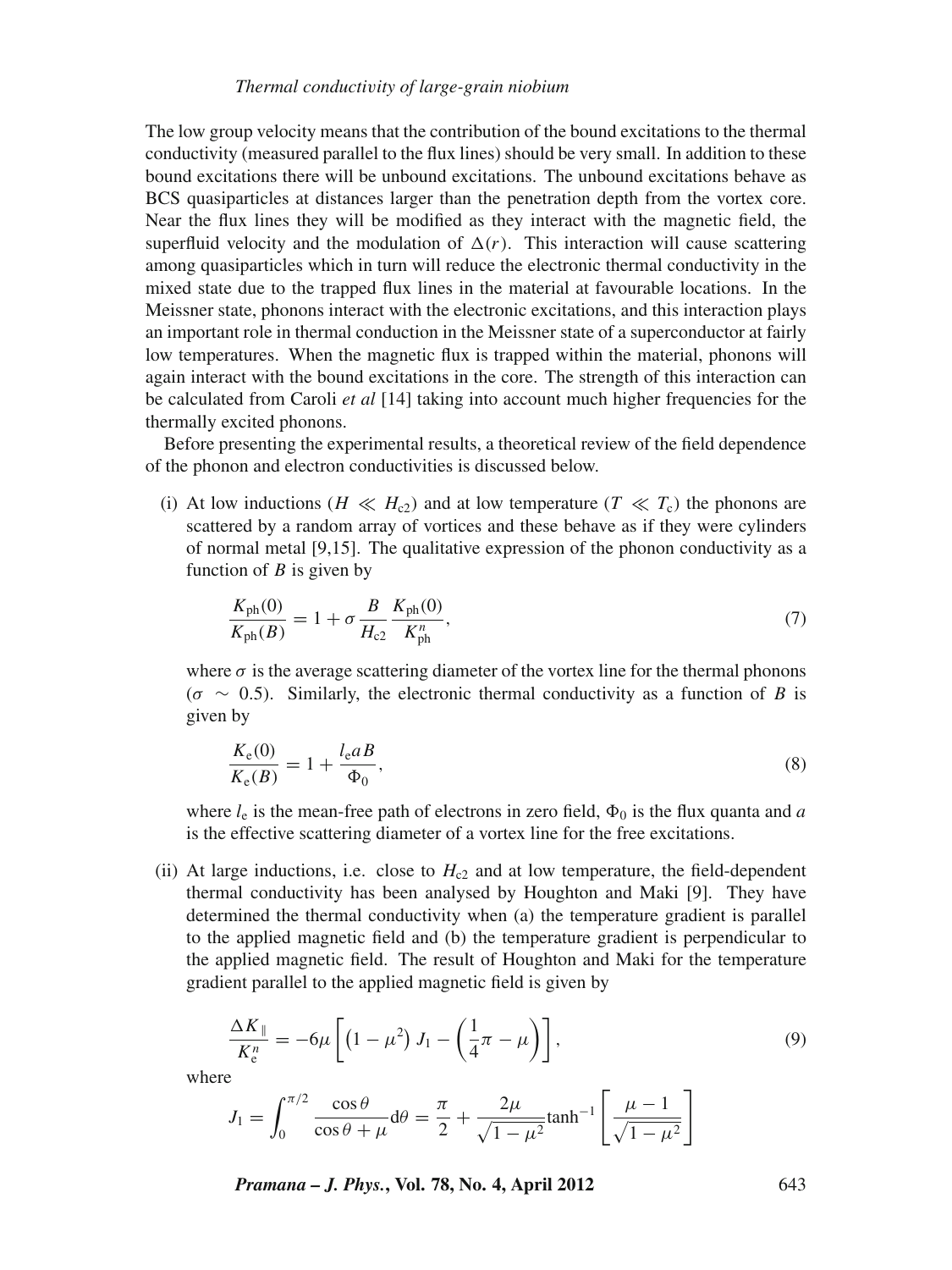The low group velocity means that the contribution of the bound excitations to the thermal conductivity (measured parallel to the flux lines) should be very small. In addition to these bound excitations there will be unbound excitations. The unbound excitations behave as BCS quasiparticles at distances larger than the penetration depth from the vortex core. Near the flux lines they will be modified as they interact with the magnetic field, the superfluid velocity and the modulation of  $\Delta(r)$ . This interaction will cause scattering among quasiparticles which in turn will reduce the electronic thermal conductivity in the mixed state due to the trapped flux lines in the material at favourable locations. In the Meissner state, phonons interact with the electronic excitations, and this interaction plays an important role in thermal conduction in the Meissner state of a superconductor at fairly low temperatures. When the magnetic flux is trapped within the material, phonons will again interact with the bound excitations in the core. The strength of this interaction can be calculated from Caroli *et al* [14] taking into account much higher frequencies for the thermally excited phonons.

Before presenting the experimental results, a theoretical review of the field dependence of the phonon and electron conductivities is discussed below.

(i) At low inductions ( $H \ll H_{c2}$ ) and at low temperature ( $T \ll T_c$ ) the phonons are scattered by a random array of vortices and these behave as if they were cylinders of normal metal [9,15]. The qualitative expression of the phonon conductivity as a function of *B* is given by

$$
\frac{K_{\rm ph}(0)}{K_{\rm ph}(B)} = 1 + \sigma \frac{B}{H_{\rm c2}} \frac{K_{\rm ph}(0)}{K_{\rm ph}^n},\tag{7}
$$

where  $\sigma$  is the average scattering diameter of the vortex line for the thermal phonons  $(\sigma \sim 0.5)$ . Similarly, the electronic thermal conductivity as a function of *B* is given by

$$
\frac{K_e(0)}{K_e(B)} = 1 + \frac{l_e a}{\Phi_0},\tag{8}
$$

where  $l_e$  is the mean-free path of electrons in zero field,  $\Phi_0$  is the flux quanta and *a* is the effective scattering diameter of a vortex line for the free excitations.

(ii) At large inductions, i.e. close to  $H_{c2}$  and at low temperature, the field-dependent thermal conductivity has been analysed by Houghton and Maki [9]. They have determined the thermal conductivity when (a) the temperature gradient is parallel to the applied magnetic field and (b) the temperature gradient is perpendicular to the applied magnetic field. The result of Houghton and Maki for the temperature gradient parallel to the applied magnetic field is given by

$$
\frac{\Delta K_{\parallel}}{K_{\rm e}^n} = -6\mu \left[ \left( 1 - \mu^2 \right) J_1 - \left( \frac{1}{4}\pi - \mu \right) \right],\tag{9}
$$

where

$$
J_1 = \int_0^{\pi/2} \frac{\cos \theta}{\cos \theta + \mu} d\theta = \frac{\pi}{2} + \frac{2\mu}{\sqrt{1 - \mu^2}} \tanh^{-1} \left[ \frac{\mu - 1}{\sqrt{1 - \mu^2}} \right]
$$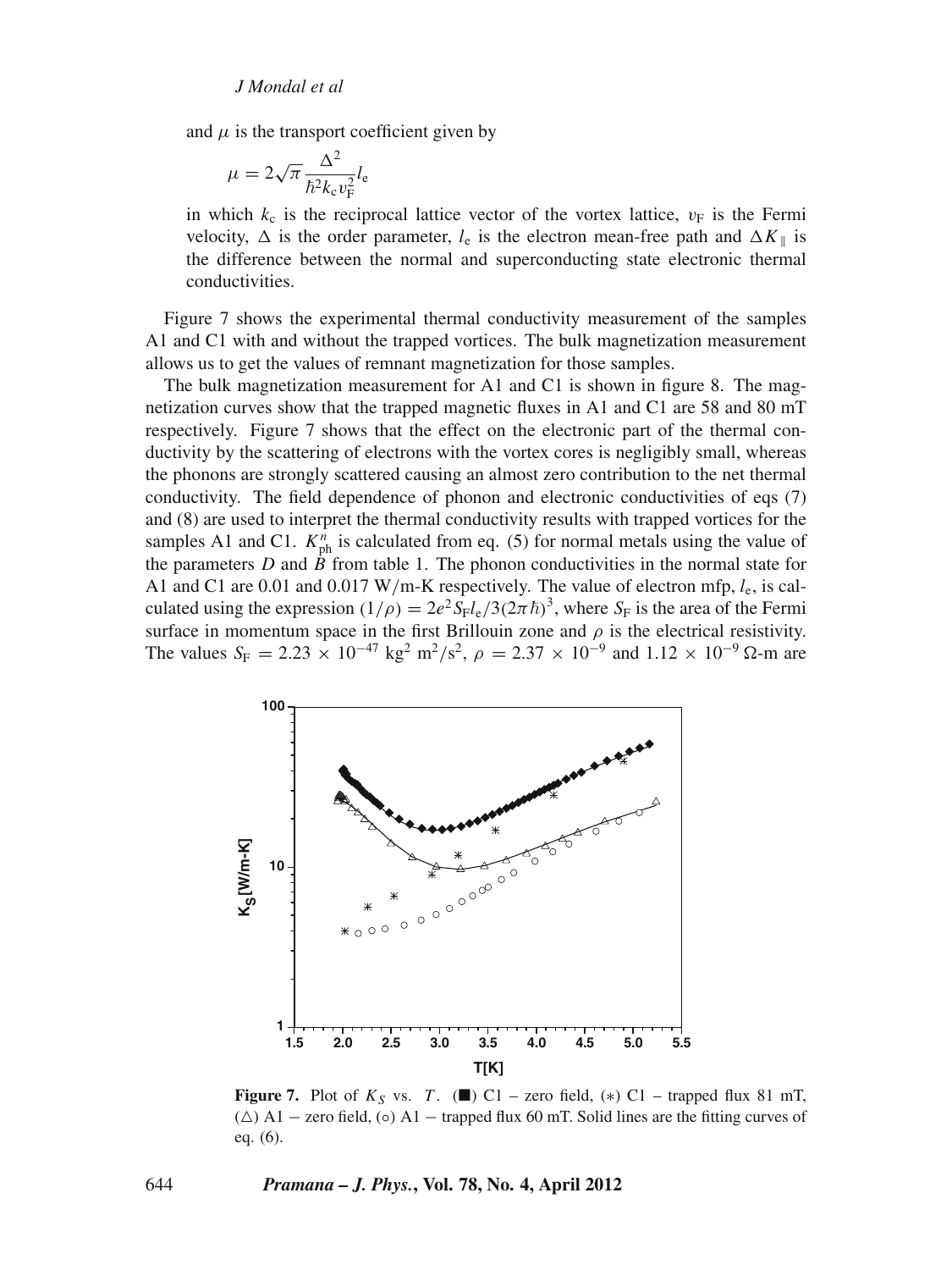and  $\mu$  is the transport coefficient given by

$$
\mu = 2\sqrt{\pi} \frac{\Delta^2}{\hbar^2 k_{\rm c} v_{\rm F}^2} l_{\rm e}
$$

in which  $k_c$  is the reciprocal lattice vector of the vortex lattice,  $v_F$  is the Fermi velocity,  $\Delta$  is the order parameter,  $l_e$  is the electron mean-free path and  $\Delta K_{\parallel}$  is the difference between the normal and superconducting state electronic thermal conductivities.

Figure 7 shows the experimental thermal conductivity measurement of the samples A1 and C1 with and without the trapped vortices. The bulk magnetization measurement allows us to get the values of remnant magnetization for those samples.

The bulk magnetization measurement for A1 and C1 is shown in figure 8. The magnetization curves show that the trapped magnetic fluxes in A1 and C1 are 58 and 80 mT respectively. Figure 7 shows that the effect on the electronic part of the thermal conductivity by the scattering of electrons with the vortex cores is negligibly small, whereas the phonons are strongly scattered causing an almost zero contribution to the net thermal conductivity. The field dependence of phonon and electronic conductivities of eqs (7) and (8) are used to interpret the thermal conductivity results with trapped vortices for the samples A1 and C1.  $K_{ph}^{n}$  is calculated from eq. (5) for normal metals using the value of the parameters  $D$  and  $\dot{B}$  from table 1. The phonon conductivities in the normal state for A1 and C1 are 0.01 and 0.017 W/m-K respectively. The value of electron mfp, *l*e, is calculated using the expression  $(1/\rho) = 2e^2 S_F l_e / 3(2\pi \hbar)^3$ , where  $S_F$  is the area of the Fermi surface in momentum space in the first Brillouin zone and  $\rho$  is the electrical resistivity. The values  $S_F = 2.23 \times 10^{-47} \text{ kg}^2 \text{ m}^2/\text{s}^2$ ,  $\rho = 2.37 \times 10^{-9} \text{ and } 1.12 \times 10^{-9} \Omega \text{ m}$  are



**Figure 7.** Plot of  $K_S$  vs. *T*. ( $\blacksquare$ ) C1 – zero field, (\*) C1 – trapped flux 81 mT,  $(\triangle)$  A1 – zero field, (⊙) A1 – trapped flux 60 mT. Solid lines are the fitting curves of eq. (6).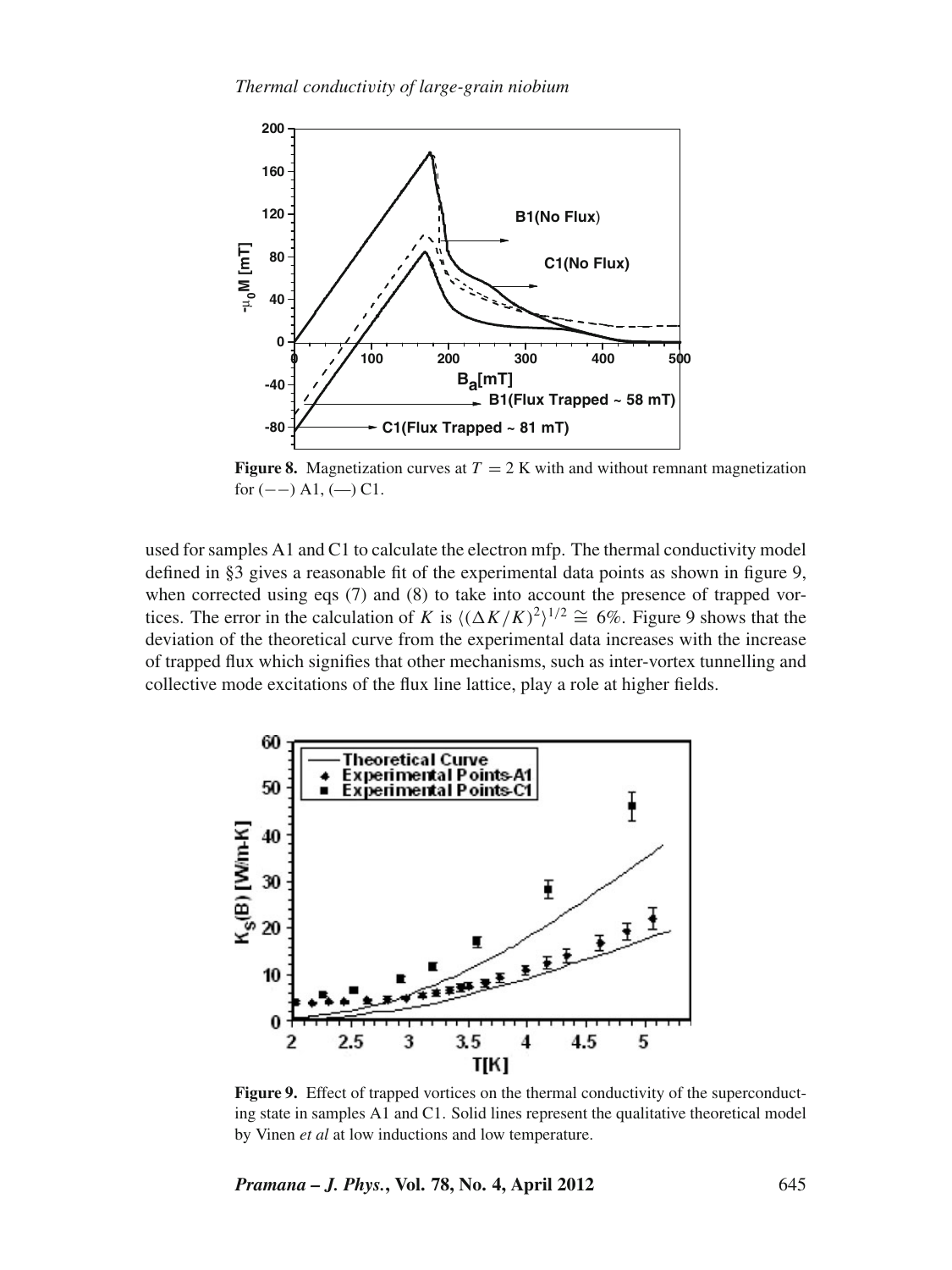

**Figure 8.** Magnetization curves at  $T = 2$  K with and without remnant magnetization for  $(--)$  A1,  $(-)$  C1.

used for samples A1 and C1 to calculate the electron mfp. The thermal conductivity model defined in §3 gives a reasonable fit of the experimental data points as shown in figure 9, when corrected using eqs (7) and (8) to take into account the presence of trapped vortices. The error in the calculation of *K* is  $((\Delta K/K)^2)^{1/2} \cong 6\%$ . Figure 9 shows that the deviation of the theoretical curve from the experimental data increases with the increase of trapped flux which signifies that other mechanisms, such as inter-vortex tunnelling and collective mode excitations of the flux line lattice, play a role at higher fields.



Figure 9. Effect of trapped vortices on the thermal conductivity of the superconducting state in samples A1 and C1. Solid lines represent the qualitative theoretical model by Vinen *et al* at low inductions and low temperature.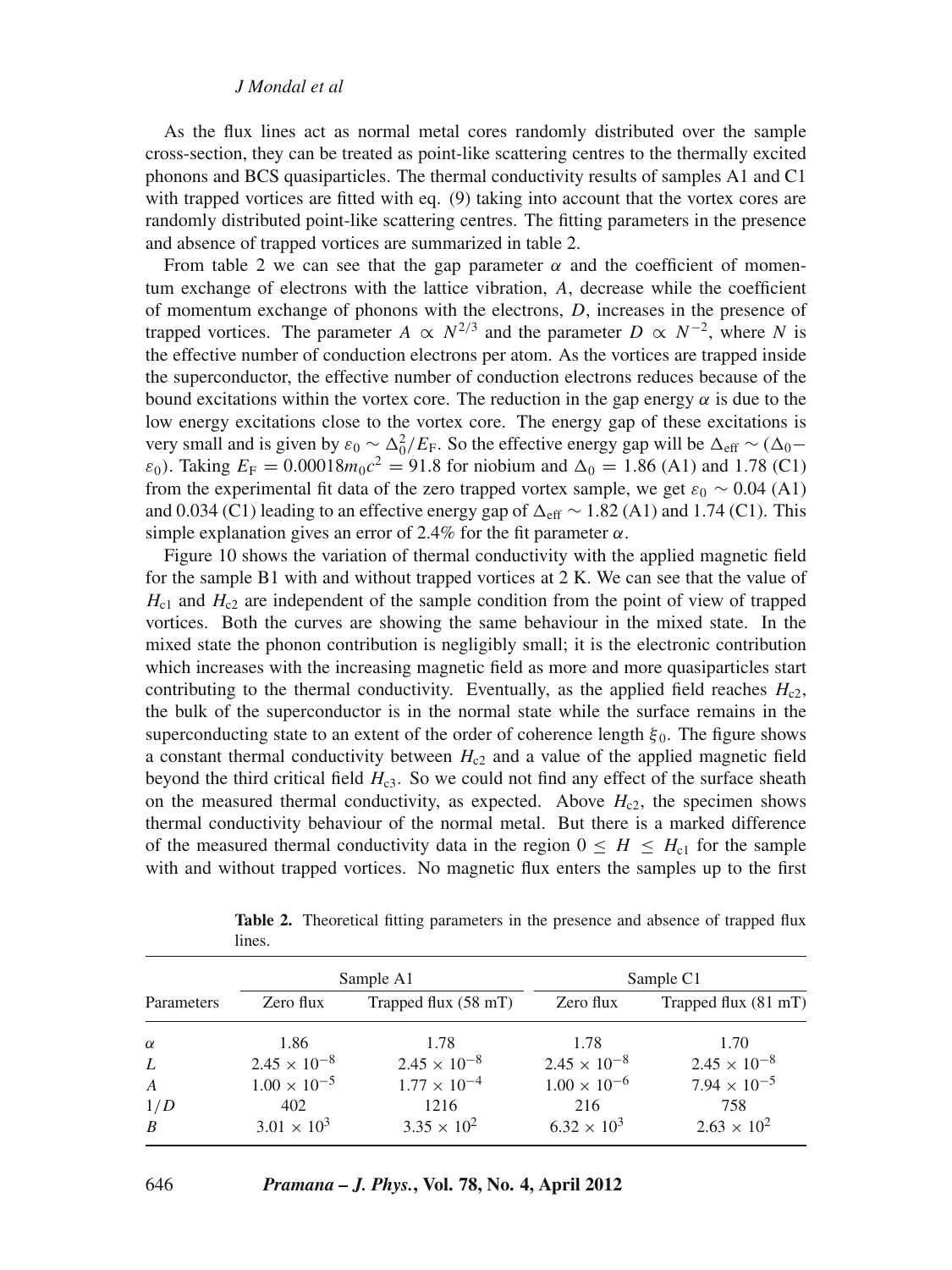As the flux lines act as normal metal cores randomly distributed over the sample cross-section, they can be treated as point-like scattering centres to the thermally excited phonons and BCS quasiparticles. The thermal conductivity results of samples A1 and C1 with trapped vortices are fitted with eq. (9) taking into account that the vortex cores are randomly distributed point-like scattering centres. The fitting parameters in the presence and absence of trapped vortices are summarized in table 2.

From table 2 we can see that the gap parameter  $\alpha$  and the coefficient of momentum exchange of electrons with the lattice vibration, *A*, decrease while the coefficient of momentum exchange of phonons with the electrons, *D*, increases in the presence of trapped vortices. The parameter *A*  $\propto N^{2/3}$  and the parameter *D*  $\propto N^{-2}$ , where *N* is the effective number of conduction electrons per atom. As the vortices are trapped inside the superconductor, the effective number of conduction electrons reduces because of the bound excitations within the vortex core. The reduction in the gap energy  $\alpha$  is due to the low energy excitations close to the vortex core. The energy gap of these excitations is very small and is given by  $\varepsilon_0 \sim \Delta_0^2/E_F$ . So the effective energy gap will be  $\Delta_{eff} \sim (\Delta_0 \varepsilon_0$ ). Taking  $E_F = 0.00018m_0c^2 = 91.8$  for niobium and  $\Delta_0 = 1.86$  (A1) and 1.78 (C1) from the experimental fit data of the zero trapped vortex sample, we get  $\varepsilon_0 \sim 0.04$  (A1) and 0.034 (C1) leading to an effective energy gap of  $\Delta_{\text{eff}} \sim 1.82$  (A1) and 1.74 (C1). This simple explanation gives an error of 2.4% for the fit parameter  $\alpha$ .

Figure 10 shows the variation of thermal conductivity with the applied magnetic field for the sample B1 with and without trapped vortices at 2 K. We can see that the value of  $H<sub>c1</sub>$  and  $H<sub>c2</sub>$  are independent of the sample condition from the point of view of trapped vortices. Both the curves are showing the same behaviour in the mixed state. In the mixed state the phonon contribution is negligibly small; it is the electronic contribution which increases with the increasing magnetic field as more and more quasiparticles start contributing to the thermal conductivity. Eventually, as the applied field reaches  $H_{c2}$ , the bulk of the superconductor is in the normal state while the surface remains in the superconducting state to an extent of the order of coherence length  $\xi_0$ . The figure shows a constant thermal conductivity between  $H<sub>c2</sub>$  and a value of the applied magnetic field beyond the third critical field  $H_{c3}$ . So we could not find any effect of the surface sheath on the measured thermal conductivity, as expected. Above  $H_{c2}$ , the specimen shows thermal conductivity behaviour of the normal metal. But there is a marked difference of the measured thermal conductivity data in the region  $0 \leq H \leq H_{c1}$  for the sample with and without trapped vortices. No magnetic flux enters the samples up to the first

| Parameters       | Sample A1             |                                | Sample C1             |                       |
|------------------|-----------------------|--------------------------------|-----------------------|-----------------------|
|                  | Zero flux             | Trapped flux $(58 \text{ mT})$ | Zero flux             | Trapped flux (81 mT)  |
| $\alpha$         | 1.86                  | 1.78                           | 1.78                  | 1.70                  |
| L                | $2.45 \times 10^{-8}$ | $2.45 \times 10^{-8}$          | $2.45 \times 10^{-8}$ | $2.45 \times 10^{-8}$ |
| $\boldsymbol{A}$ | $1.00 \times 10^{-5}$ | $1.77 \times 10^{-4}$          | $1.00 \times 10^{-6}$ | $7.94 \times 10^{-5}$ |
| 1/D              | 402                   | 1216                           | 216                   | 758                   |
| $\boldsymbol{B}$ | $3.01 \times 10^{3}$  | $3.35 \times 10^{2}$           | $6.32 \times 10^3$    | $2.63 \times 10^{2}$  |

**Table 2.** Theoretical fitting parameters in the presence and absence of trapped flux lines.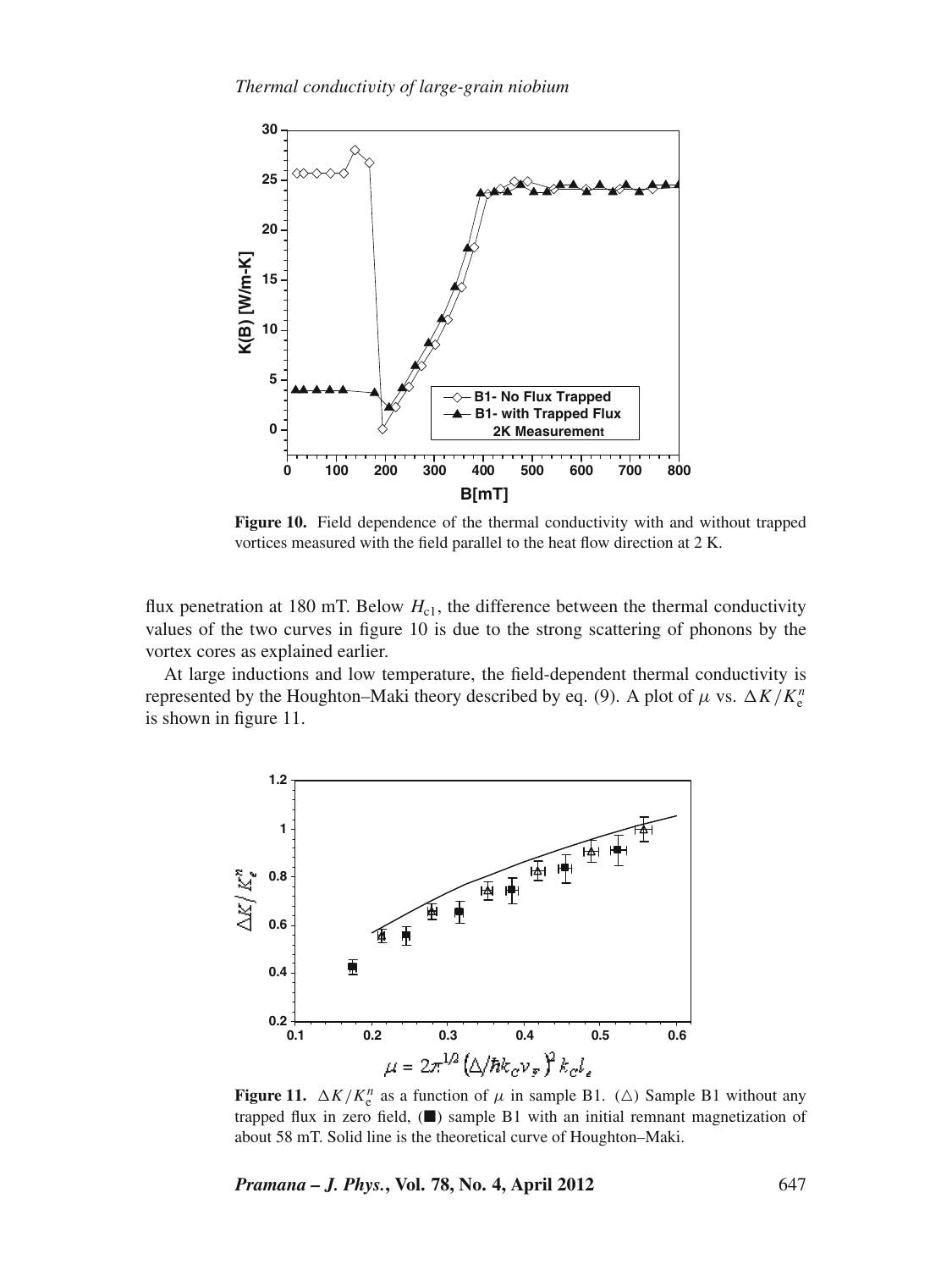

**Figure 10.** Field dependence of the thermal conductivity with and without trapped vortices measured with the field parallel to the heat flow direction at 2 K.

flux penetration at 180 mT. Below  $H_{c1}$ , the difference between the thermal conductivity values of the two curves in figure 10 is due to the strong scattering of phonons by the vortex cores as explained earlier.

At large inductions and low temperature, the field-dependent thermal conductivity is represented by the Houghton–Maki theory described by eq. (9). A plot of  $\mu$  vs.  $\Delta K/K_c^n$ is shown in figure 11.



**Figure 11.**  $\Delta K/K_e^n$  as a function of  $\mu$  in sample B1. ( $\Delta$ ) Sample B1 without any trapped flux in zero field,  $(\blacksquare)$  sample B1 with an initial remnant magnetization of about 58 mT. Solid line is the theoretical curve of Houghton–Maki.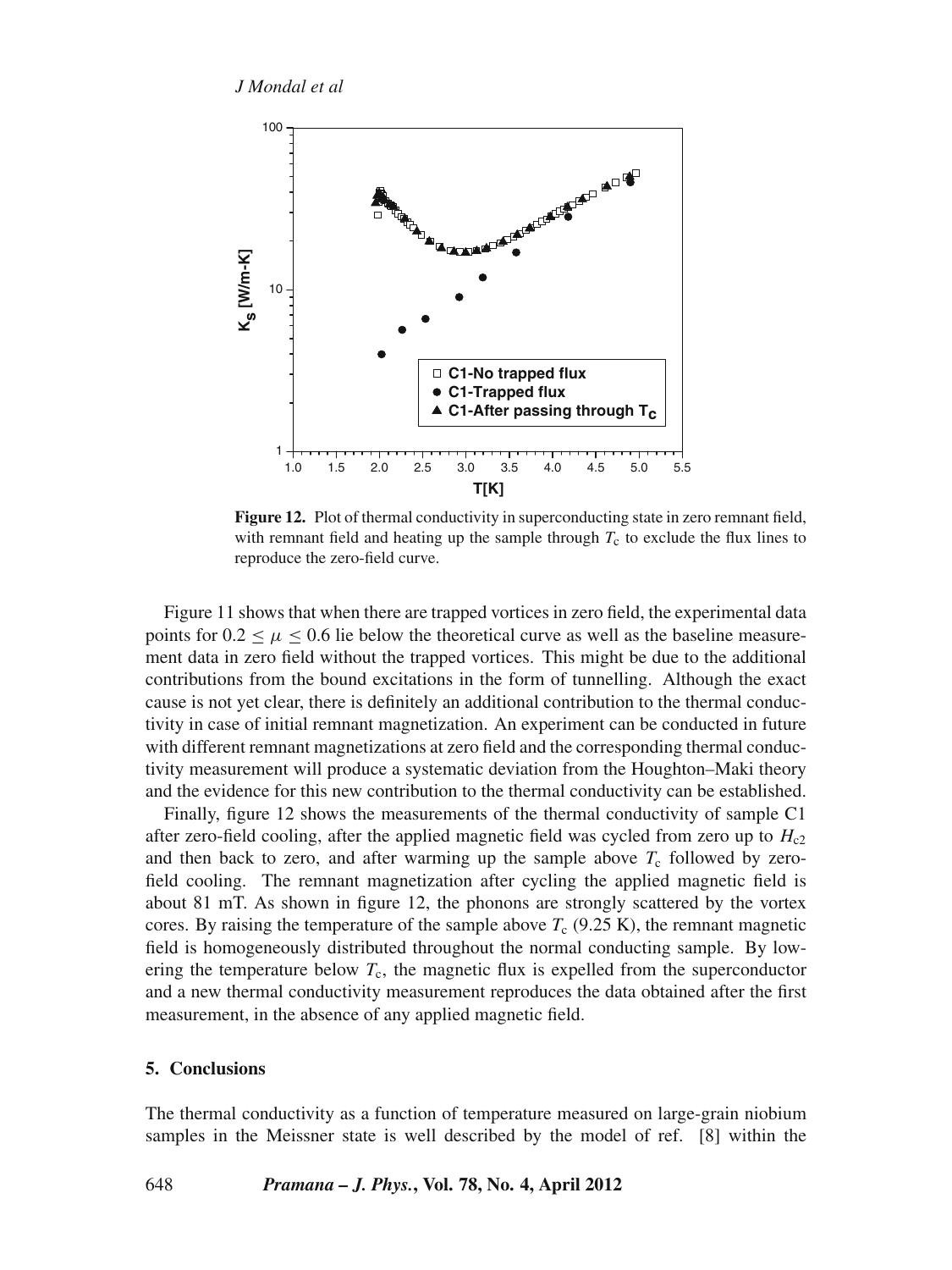

Figure 12. Plot of thermal conductivity in superconducting state in zero remnant field, with remnant field and heating up the sample through  $T_c$  to exclude the flux lines to reproduce the zero-field curve.

Figure 11 shows that when there are trapped vortices in zero field, the experimental data points for  $0.2 \leq \mu \leq 0.6$  lie below the theoretical curve as well as the baseline measurement data in zero field without the trapped vortices. This might be due to the additional contributions from the bound excitations in the form of tunnelling. Although the exact cause is not yet clear, there is definitely an additional contribution to the thermal conductivity in case of initial remnant magnetization. An experiment can be conducted in future with different remnant magnetizations at zero field and the corresponding thermal conductivity measurement will produce a systematic deviation from the Houghton–Maki theory and the evidence for this new contribution to the thermal conductivity can be established.

Finally, figure 12 shows the measurements of the thermal conductivity of sample C1 after zero-field cooling, after the applied magnetic field was cycled from zero up to  $H_{c2}$ and then back to zero, and after warming up the sample above  $T_c$  followed by zerofield cooling. The remnant magnetization after cycling the applied magnetic field is about 81 mT. As shown in figure 12, the phonons are strongly scattered by the vortex cores. By raising the temperature of the sample above  $T_c$  (9.25 K), the remnant magnetic field is homogeneously distributed throughout the normal conducting sample. By lowering the temperature below  $T_c$ , the magnetic flux is expelled from the superconductor and a new thermal conductivity measurement reproduces the data obtained after the first measurement, in the absence of any applied magnetic field.

## **5. Conclusions**

The thermal conductivity as a function of temperature measured on large-grain niobium samples in the Meissner state is well described by the model of ref. [8] within the